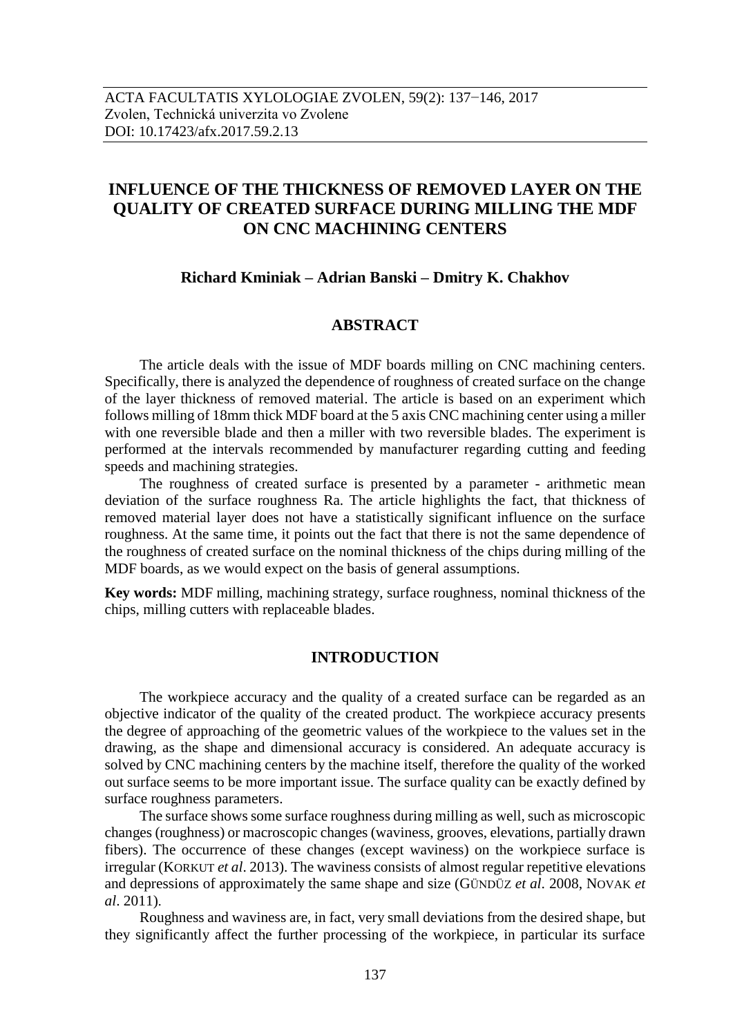# **INFLUENCE OF THE THICKNESS OF REMOVED LAYER ON THE QUALITY OF CREATED SURFACE DURING MILLING THE MDF ON CNC MACHINING CENTERS**

# **Richard Kminiak – Adrian Banski – Dmitry K. Chakhov**

# **ABSTRACT**

The article deals with the issue of MDF boards milling on CNC machining centers. Specifically, there is analyzed the dependence of roughness of created surface on the change of the layer thickness of removed material. The article is based on an experiment which follows milling of 18mm thick MDF board at the 5 axis CNC machining center using a miller with one reversible blade and then a miller with two reversible blades. The experiment is performed at the intervals recommended by manufacturer regarding cutting and feeding speeds and machining strategies.

The roughness of created surface is presented by a parameter - arithmetic mean deviation of the surface roughness Ra. The article highlights the fact, that thickness of removed material layer does not have a statistically significant influence on the surface roughness. At the same time, it points out the fact that there is not the same dependence of the roughness of created surface on the nominal thickness of the chips during milling of the MDF boards, as we would expect on the basis of general assumptions.

**Key words:** MDF milling, machining strategy, surface roughness, nominal thickness of the chips, milling cutters with replaceable blades.

# **INTRODUCTION**

The workpiece accuracy and the quality of a created surface can be regarded as an objective indicator of the quality of the created product. The workpiece accuracy presents the degree of approaching of the geometric values of the workpiece to the values set in the drawing, as the shape and dimensional accuracy is considered. An adequate accuracy is solved by CNC machining centers by the machine itself, therefore the quality of the worked out surface seems to be more important issue. The surface quality can be exactly defined by surface roughness parameters.

The surface shows some surface roughness during milling as well, such as microscopic changes (roughness) or macroscopic changes (waviness, grooves, elevations, partially drawn fibers). The occurrence of these changes (except waviness) on the workpiece surface is irregular (KORKUT *et al*. 2013). The waviness consists of almost regular repetitive elevations and depressions of approximately the same shape and size (GÜNDÜZ *et al*. 2008, NOVAK *et al*. 2011).

Roughness and waviness are, in fact, very small deviations from the desired shape, but they significantly affect the further processing of the workpiece, in particular its surface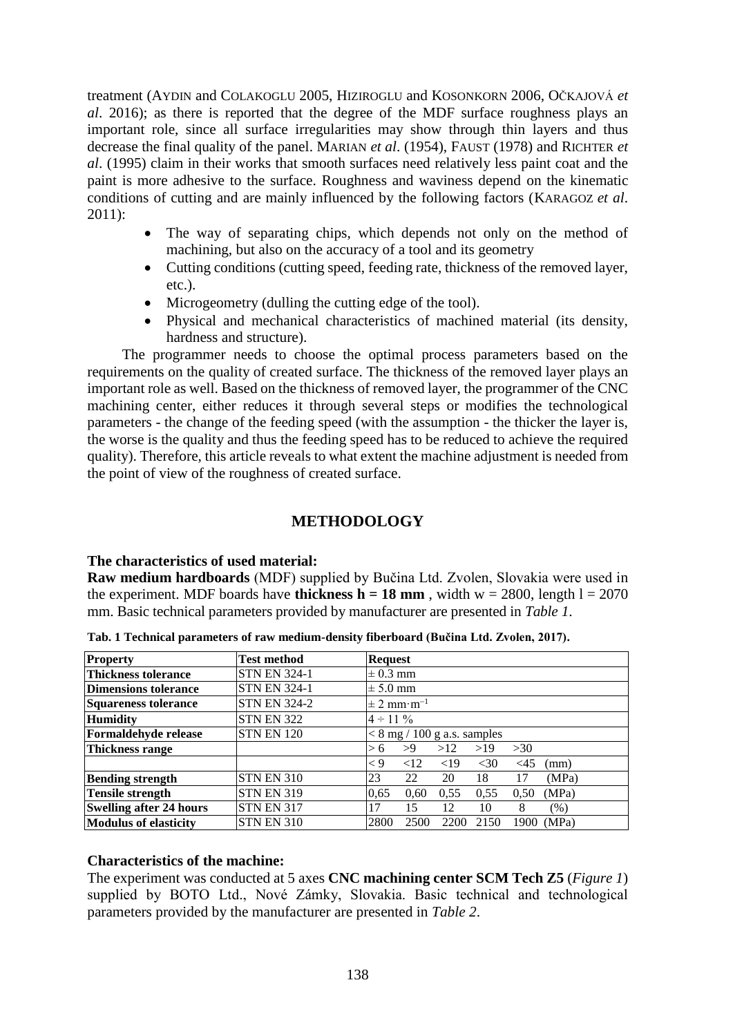treatment (AYDIN and COLAKOGLU 2005, HIZIROGLU and KOSONKORN 2006, OČKAJOVÁ *et al*. 2016); as there is reported that the degree of the MDF surface roughness plays an important role, since all surface irregularities may show through thin layers and thus decrease the final quality of the panel. MARIAN *et al*. (1954), FAUST (1978) and RICHTER *et al*. (1995) claim in their works that smooth surfaces need relatively less paint coat and the paint is more adhesive to the surface. Roughness and waviness depend on the kinematic conditions of cutting and are mainly influenced by the following factors (KARAGOZ *et al*. 2011):

- The way of separating chips, which depends not only on the method of machining, but also on the accuracy of a tool and its geometry
- Cutting conditions (cutting speed, feeding rate, thickness of the removed layer, etc.).
- Microgeometry (dulling the cutting edge of the tool).
- Physical and mechanical characteristics of machined material (its density, hardness and structure).

The programmer needs to choose the optimal process parameters based on the requirements on the quality of created surface. The thickness of the removed layer plays an important role as well. Based on the thickness of removed layer, the programmer of the CNC machining center, either reduces it through several steps or modifies the technological parameters - the change of the feeding speed (with the assumption - the thicker the layer is, the worse is the quality and thus the feeding speed has to be reduced to achieve the required quality). Therefore, this article reveals to what extent the machine adjustment is needed from the point of view of the roughness of created surface.

# **METHODOLOGY**

# **The characteristics of used material:**

**Raw medium hardboards** (MDF) supplied by Bučina Ltd. Zvolen, Slovakia were used in the experiment. MDF boards have **thickness h = 18 mm**, width  $w = 2800$ , length  $l = 2070$ mm. Basic technical parameters provided by manufacturer are presented in *Table 1*.

| <b>Property</b>                | <b>Test method</b>  | <b>Request</b>                                       |  |  |  |  |
|--------------------------------|---------------------|------------------------------------------------------|--|--|--|--|
| <b>Thickness tolerance</b>     | <b>STN EN 324-1</b> | $\pm$ 0.3 mm                                         |  |  |  |  |
| Dimensions tolerance           | <b>STN EN 324-1</b> | $\pm$ 5.0 mm                                         |  |  |  |  |
| Squareness tolerance           | <b>STN EN 324-2</b> | $\pm 2$ mm·m <sup>-1</sup>                           |  |  |  |  |
| <b>Humidity</b>                | <b>STN EN 322</b>   | $4 \div 11\%$                                        |  |  |  |  |
| <b>Formaldehyde release</b>    | <b>STN EN 120</b>   | $< 8$ mg / 100 g a.s. samples                        |  |  |  |  |
| Thickness range                |                     | >9<br>>12<br>>19<br>>30<br>> 6                       |  |  |  |  |
|                                |                     | <19<br>$\lt 9$<br><12<br>$<$ 30<br>$\leq$ 45<br>(mm) |  |  |  |  |
| <b>Bending strength</b>        | <b>STN EN 310</b>   | 23<br>22<br>20<br>(MPa)<br>18<br>17                  |  |  |  |  |
| <b>Tensile strength</b>        | <b>STN EN 319</b>   | (MPa)<br>0.60<br>0.55<br>0.55<br>0.65<br>0.50        |  |  |  |  |
| <b>Swelling after 24 hours</b> | <b>STN EN 317</b>   | 17<br>15<br>12<br>10<br>8<br>(%)                     |  |  |  |  |
| <b>Modulus of elasticity</b>   | <b>STN EN 310</b>   | 2800<br>2500<br>2200<br>1900 (MPa)<br>2150           |  |  |  |  |

**Tab. 1 Technical parameters of raw medium-density fiberboard (Bučina Ltd. Zvolen, 2017).**

# **Characteristics of the machine:**

The experiment was conducted at 5 axes **CNC machining center SCM Tech Z5** (*Figure 1*) supplied by BOTO Ltd., Nové Zámky, Slovakia. Basic technical and technological parameters provided by the manufacturer are presented in *Table 2*.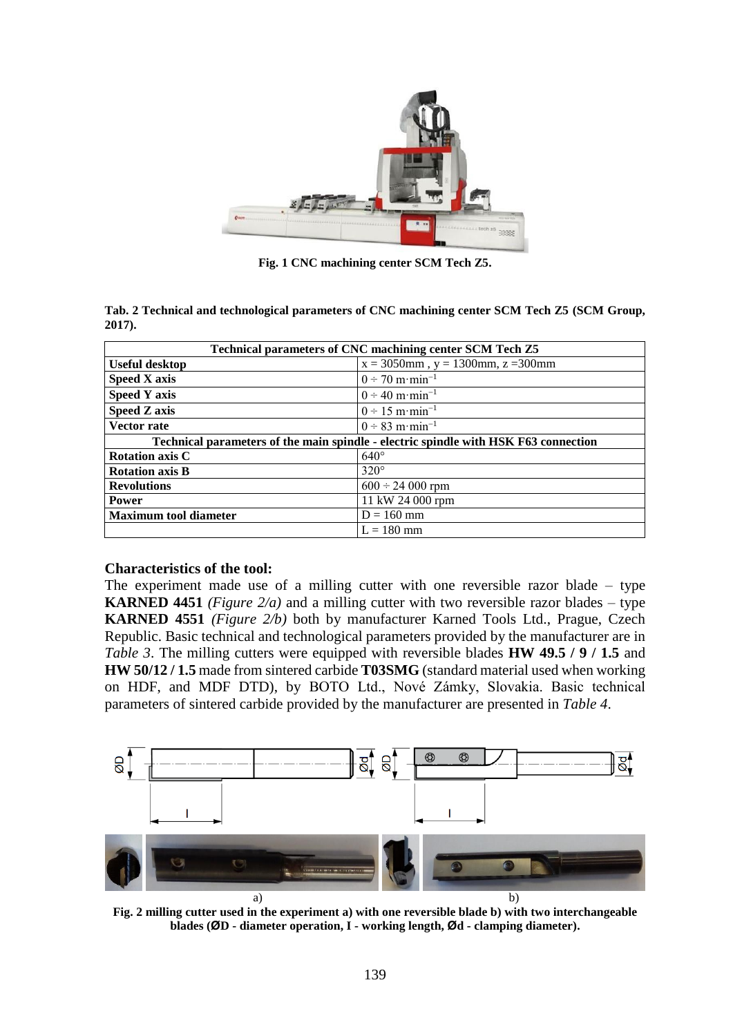

**Fig. 1 CNC machining center SCM Tech Z5.**

**Tab. 2 Technical and technological parameters of CNC machining center SCM Tech Z5 (SCM Group, 2017).**

| Technical parameters of CNC machining center SCM Tech Z5                            |                                             |  |  |  |  |
|-------------------------------------------------------------------------------------|---------------------------------------------|--|--|--|--|
| <b>Useful desktop</b>                                                               | $x = 3050$ mm, $y = 1300$ mm, $z = 300$ mm  |  |  |  |  |
| <b>Speed X axis</b>                                                                 | $0 \div 70 \text{ m} \cdot \text{min}^{-1}$ |  |  |  |  |
| <b>Speed Y axis</b>                                                                 | $0 \div 40 \text{ m} \cdot \text{min}^{-1}$ |  |  |  |  |
| <b>Speed Z axis</b>                                                                 | $0 \div 15$ m·min <sup>-1</sup>             |  |  |  |  |
| <b>Vector rate</b>                                                                  | $0 \div 83$ m·min <sup>-1</sup>             |  |  |  |  |
| Technical parameters of the main spindle - electric spindle with HSK F63 connection |                                             |  |  |  |  |
| <b>Rotation axis C</b>                                                              | $640^\circ$                                 |  |  |  |  |
| <b>Rotation axis B</b>                                                              | $320^\circ$                                 |  |  |  |  |
| <b>Revolutions</b>                                                                  | $600 \div 24000$ rpm                        |  |  |  |  |
| <b>Power</b>                                                                        | 11 kW 24 000 rpm                            |  |  |  |  |
| <b>Maximum tool diameter</b>                                                        | $D = 160$ mm                                |  |  |  |  |
|                                                                                     | $L = 180$ mm                                |  |  |  |  |

# **Characteristics of the tool:**

The experiment made use of a milling cutter with one reversible razor blade – type **KARNED 4451** *(Figure 2/a)* and a milling cutter with two reversible razor blades – type **KARNED 4551** *(Figure 2/b)* both by manufacturer Karned Tools Ltd., Prague, Czech Republic. Basic technical and technological parameters provided by the manufacturer are in *Table 3*. The milling cutters were equipped with reversible blades **HW 49.5 / 9 / 1.5** and **HW 50/12 / 1.5** made from sintered carbide **T03SMG** (standard material used when working on HDF, and MDF DTD), by BOTO Ltd., Nové Zámky, Slovakia. Basic technical parameters of sintered carbide provided by the manufacturer are presented in *Table 4*.



**Fig. 2 milling cutter used in the experiment a) with one reversible blade b) with two interchangeable blades (ØD - diameter operation, I - working length, Ød - clamping diameter).**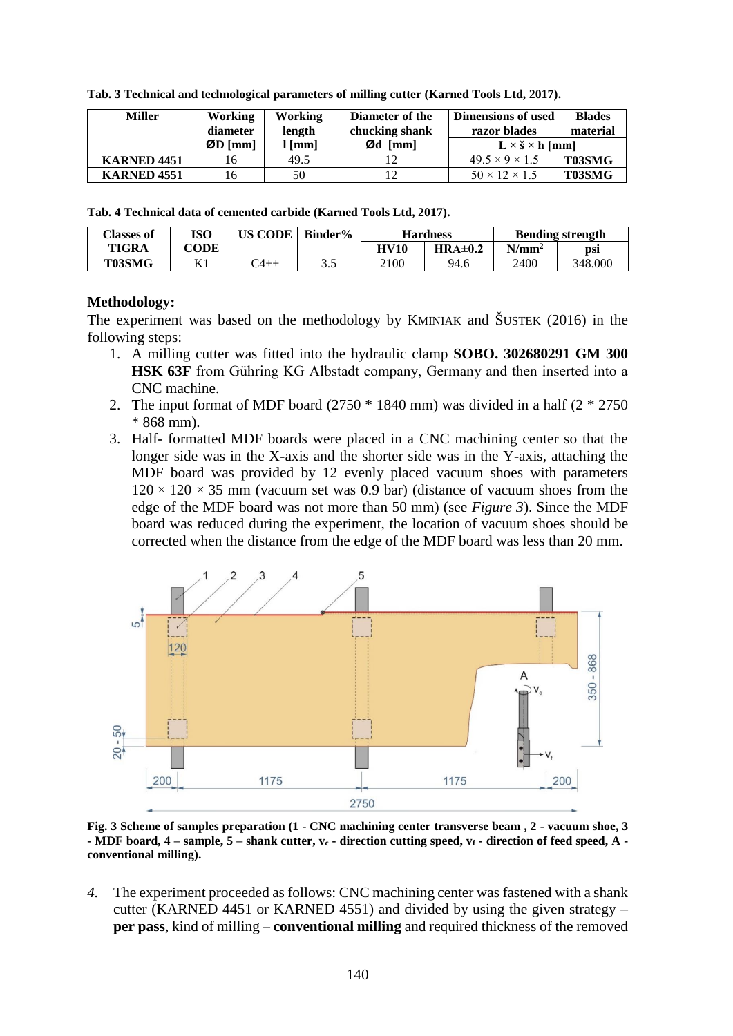| <b>Miller</b>          | Working<br>diameter                       | Working<br>Diameter of the<br>chucking shank<br>length |                    | Dimensions of used<br>razor blades | <b>Blades</b><br>material |
|------------------------|-------------------------------------------|--------------------------------------------------------|--------------------|------------------------------------|---------------------------|
|                        | $\varnothing$ D $\lceil \text{mm} \rceil$ | $\lceil$ mm $\rceil$                                   | $\emptyset$ d [mm] | $L \times \S \times h$ [mm]        |                           |
| <b>KARNED 4451</b>     | 16                                        | 49.5                                                   | 12                 | $49.5 \times 9 \times 1.5$         | T03SMG                    |
| KARNED <sub>4551</sub> | l6                                        | 50                                                     | 12                 | $50 \times 12 \times 1.5$          | T03SMG                    |

**Tab. 3 Technical and technological parameters of milling cutter (Karned Tools Ltd, 2017).**

**Tab. 4 Technical data of cemented carbide (Karned Tools Ltd, 2017).**

| Classes of   | ISO  | US CODE  | Binder% | <b>Hardness</b> |         | <b>Bending strength</b> |         |
|--------------|------|----------|---------|-----------------|---------|-------------------------|---------|
| <b>TIGRA</b> | CODE |          |         | HV10            | HRA±0.2 | $N/mm^2$                | DSI     |
| T03SMG       | 17 1 | $4_{++}$ | ن. ب    | 2100            | 94.6    | 2400                    | 348.000 |

# **Methodology:**

The experiment was based on the methodology by KMINIAK and ŠUSTEK (2016) in the following steps:

- 1. A milling cutter was fitted into the hydraulic clamp **SOBO. 302680291 GM 300 HSK 63F** from Gühring KG Albstadt company, Germany and then inserted into a CNC machine.
- 2. The input format of MDF board  $(2750 * 1840 \text{ mm})$  was divided in a half  $(2 * 2750 \text{ m})$ \* 868 mm).
- 3. Half- formatted MDF boards were placed in a CNC machining center so that the longer side was in the X-axis and the shorter side was in the Y-axis, attaching the MDF board was provided by 12 evenly placed vacuum shoes with parameters  $120 \times 120 \times 35$  mm (vacuum set was 0.9 bar) (distance of vacuum shoes from the edge of the MDF board was not more than 50 mm) (see *Figure 3*). Since the MDF board was reduced during the experiment, the location of vacuum shoes should be corrected when the distance from the edge of the MDF board was less than 20 mm.



**Fig. 3 Scheme of samples preparation (1 - CNC machining center transverse beam , 2 - vacuum shoe, 3 - MDF board, 4 – sample, 5 – shank cutter, v<sup>c</sup> - direction cutting speed, v<sup>f</sup> - direction of feed speed, A conventional milling).**

*4.* The experiment proceeded as follows: CNC machining center was fastened with a shank cutter (KARNED 4451 or KARNED 4551) and divided by using the given strategy – **per pass**, kind of milling – **conventional milling** and required thickness of the removed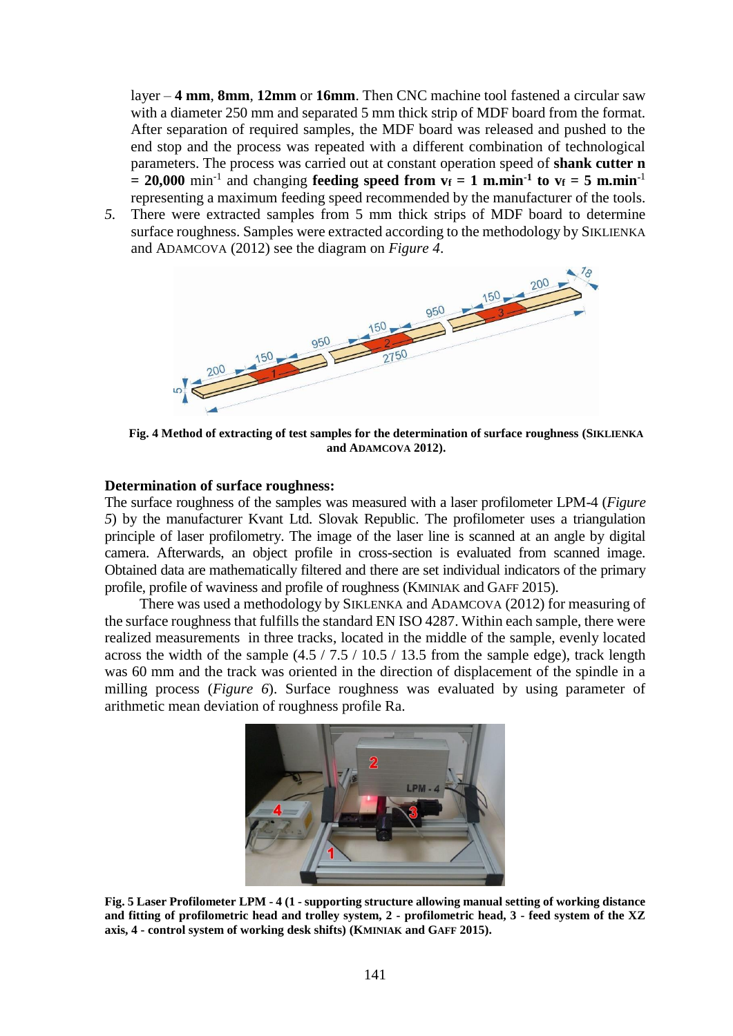layer – **4 mm**, **8mm**, **12mm** or **16mm**. Then CNC machine tool fastened a circular saw with a diameter 250 mm and separated 5 mm thick strip of MDF board from the format. After separation of required samples, the MDF board was released and pushed to the end stop and the process was repeated with a different combination of technological parameters. The process was carried out at constant operation speed of **shank cutter n**   $= 20,000$  min<sup>-1</sup> and changing **feeding speed from vf**  $= 1$  **m.min<sup>-1</sup> to vf**  $= 5$  **m.min**<sup>-1</sup> representing a maximum feeding speed recommended by the manufacturer of the tools.

*5.* There were extracted samples from 5 mm thick strips of MDF board to determine surface roughness. Samples were extracted according to the methodology by SIKLIENKA and ADAMCOVA (2012) see the diagram on *Figure 4*.



**Fig. 4 Method of extracting of test samples for the determination of surface roughness (SIKLIENKA and ADAMCOVA 2012).**

#### **Determination of surface roughness:**

The surface roughness of the samples was measured with a laser profilometer LPM-4 (*Figure 5*) by the manufacturer Kvant Ltd. Slovak Republic. The profilometer uses a triangulation principle of laser profilometry. The image of the laser line is scanned at an angle by digital camera. Afterwards, an object profile in cross-section is evaluated from scanned image. Obtained data are mathematically filtered and there are set individual indicators of the primary profile, profile of waviness and profile of roughness (KMINIAK and GAFF 2015).

There was used a methodology by SIKLENKA and ADAMCOVA (2012) for measuring of the surface roughness that fulfills the standard EN ISO 4287. Within each sample, there were realized measurements in three tracks, located in the middle of the sample, evenly located across the width of the sample  $(4.5 / 7.5 / 10.5 / 13.5$  from the sample edge), track length was 60 mm and the track was oriented in the direction of displacement of the spindle in a milling process (*Figure 6*). Surface roughness was evaluated by using parameter of arithmetic mean deviation of roughness profile Ra.



**Fig. 5 Laser Profilometer LPM - 4 (1 - supporting structure allowing manual setting of working distance and fitting of profilometric head and trolley system, 2 - profilometric head, 3 - feed system of the XZ axis, 4 - control system of working desk shifts) (KMINIAK and GAFF 2015).**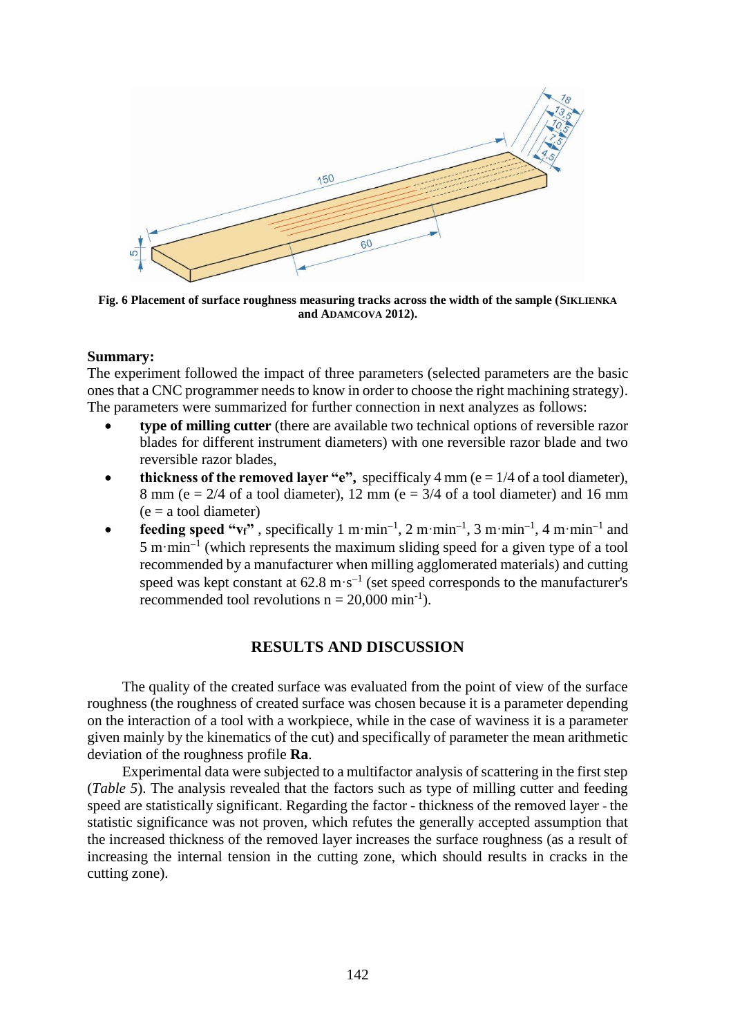

**Fig. 6 Placement of surface roughness measuring tracks across the width of the sample (SIKLIENKA and ADAMCOVA 2012).**

### **Summary:**

The experiment followed the impact of three parameters (selected parameters are the basic ones that a CNC programmer needs to know in order to choose the right machining strategy). The parameters were summarized for further connection in next analyzes as follows:

- **type of milling cutter** (there are available two technical options of reversible razor blades for different instrument diameters) with one reversible razor blade and two reversible razor blades,
- **thickness of the removed layer "e",** specifficaly 4 mm ( $e = 1/4$  of a tool diameter), 8 mm (e =  $2/4$  of a tool diameter), 12 mm (e =  $3/4$  of a tool diameter) and 16 mm  $(e = a \text{ tool diameter})$
- **feeding speed "** $v_f$ **",** specifically 1 m·min<sup>-1</sup>, 2 m·min<sup>-1</sup>, 3 m·min<sup>-1</sup>, 4 m·min<sup>-1</sup> and  $5 \text{ m} \cdot \text{min}^{-1}$  (which represents the maximum sliding speed for a given type of a tool recommended by a manufacturer when milling agglomerated materials) and cutting speed was kept constant at  $62.8 \text{ m} \cdot \text{s}^{-1}$  (set speed corresponds to the manufacturer's recommended tool revolutions  $n = 20,000 \text{ min}^{-1}$ .

# **RESULTS AND DISCUSSION**

The quality of the created surface was evaluated from the point of view of the surface roughness (the roughness of created surface was chosen because it is a parameter depending on the interaction of a tool with a workpiece, while in the case of waviness it is a parameter given mainly by the kinematics of the cut) and specifically of parameter the mean arithmetic deviation of the roughness profile **Ra**.

Experimental data were subjected to a multifactor analysis of scattering in the first step (*Table 5*). The analysis revealed that the factors such as type of milling cutter and feeding speed are statistically significant. Regarding the factor - thickness of the removed layer - the statistic significance was not proven, which refutes the generally accepted assumption that the increased thickness of the removed layer increases the surface roughness (as a result of increasing the internal tension in the cutting zone, which should results in cracks in the cutting zone).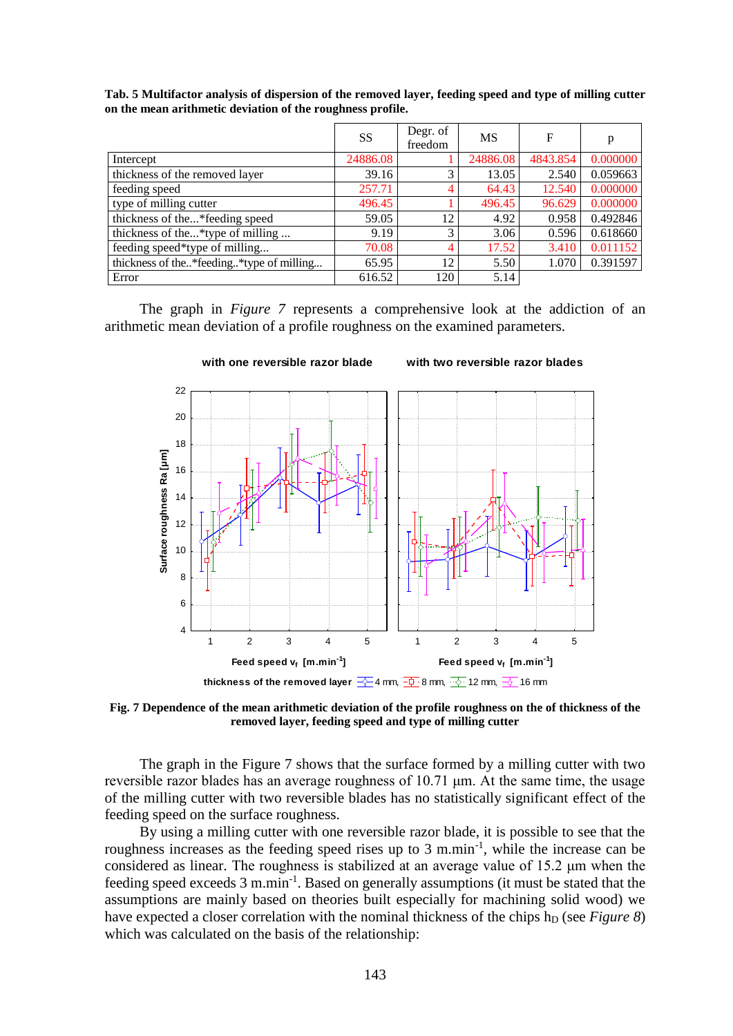**Tab. 5 Multifactor analysis of dispersion of the removed layer, feeding speed and type of milling cutter on the mean arithmetic deviation of the roughness profile.**

|                                            | <b>SS</b> | Degr. of<br>freedom | <b>MS</b> | F        | p        |
|--------------------------------------------|-----------|---------------------|-----------|----------|----------|
| Intercept                                  | 24886.08  |                     | 24886.08  | 4843.854 | 0.000000 |
| thickness of the removed layer             | 39.16     | 3                   | 13.05     | 2.540    | 0.059663 |
| feeding speed                              | 257.71    | 4                   | 64.43     | 12.540   | 0.000000 |
| type of milling cutter                     | 496.45    |                     | 496.45    | 96.629   | 0.000000 |
| thickness of the*feeding speed             | 59.05     | 12                  | 4.92      | 0.958    | 0.492846 |
| thickness of the*type of milling           | 9.19      | 3                   | 3.06      | 0.596    | 0.618660 |
| feeding speed*type of milling              | 70.08     | 4                   | 17.52     | 3.410    | 0.011152 |
| thickness of the* feeding* type of milling | 65.95     | 12                  | 5.50      | 1.070    | 0.391597 |
| Error                                      | 616.52    | 120                 | 5.14      |          |          |

The graph in *Figure 7* represents a comprehensive look at the addiction of an arithmetic mean deviation of a profile roughness on the examined parameters.



**Fig. 7 Dependence of the mean arithmetic deviation of the profile roughness on the of thickness of the removed layer, feeding speed and type of milling cutter**

The graph in the Figure 7 shows that the surface formed by a milling cutter with two reversible razor blades has an average roughness of 10.71 μm. At the same time, the usage of the milling cutter with two reversible blades has no statistically significant effect of the feeding speed on the surface roughness.

By using a milling cutter with one reversible razor blade, it is possible to see that the roughness increases as the feeding speed rises up to  $3 \text{ m.min}^{-1}$ , while the increase can be considered as linear. The roughness is stabilized at an average value of 15.2 μm when the feeding speed exceeds  $3 \text{ m.min}^{-1}$ . Based on generally assumptions (it must be stated that the assumptions are mainly based on theories built especially for machining solid wood) we have expected a closer correlation with the nominal thickness of the chips h<sub>D</sub> (see *Figure 8*) which was calculated on the basis of the relationship: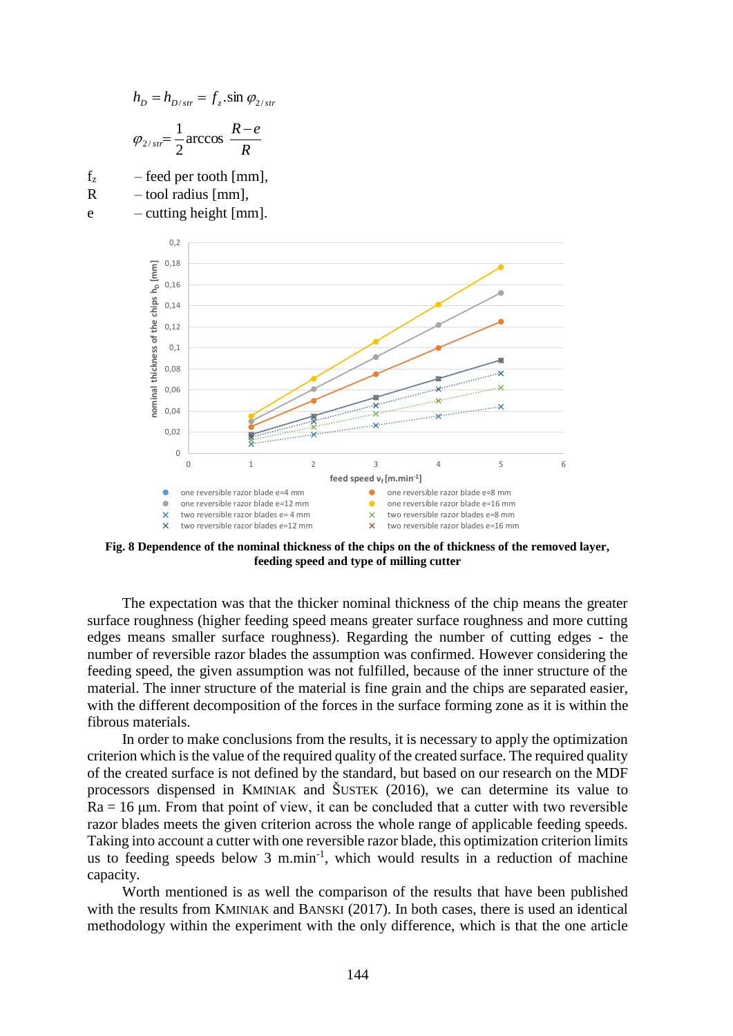$$
h_D = h_{D/str} = f_z \cdot \sin \varphi_{2/str}
$$

$$
\varphi_{2/str} = \frac{1}{2} \arccos \frac{R - e}{R}
$$

 $f_z$  – feed per tooth [mm],

- $R \sim$  tool radius [mm],
- $e$  cutting height [mm].



**Fig. 8 Dependence of the nominal thickness of the chips on the of thickness of the removed layer, feeding speed and type of milling cutter**

The expectation was that the thicker nominal thickness of the chip means the greater surface roughness (higher feeding speed means greater surface roughness and more cutting edges means smaller surface roughness). Regarding the number of cutting edges - the number of reversible razor blades the assumption was confirmed. However considering the feeding speed, the given assumption was not fulfilled, because of the inner structure of the material. The inner structure of the material is fine grain and the chips are separated easier, with the different decomposition of the forces in the surface forming zone as it is within the fibrous materials.

In order to make conclusions from the results, it is necessary to apply the optimization criterion which is the value of the required quality of the created surface. The required quality of the created surface is not defined by the standard, but based on our research on the MDF processors dispensed in KMINIAK and ŠUSTEK (2016), we can determine its value to  $Ra = 16 \mu m$ . From that point of view, it can be concluded that a cutter with two reversible razor blades meets the given criterion across the whole range of applicable feeding speeds. Taking into account a cutter with one reversible razor blade, this optimization criterion limits us to feeding speeds below  $3 \text{ m.min}^{-1}$ , which would results in a reduction of machine capacity.

Worth mentioned is as well the comparison of the results that have been published with the results from KMINIAK and BANSKI (2017). In both cases, there is used an identical methodology within the experiment with the only difference, which is that the one article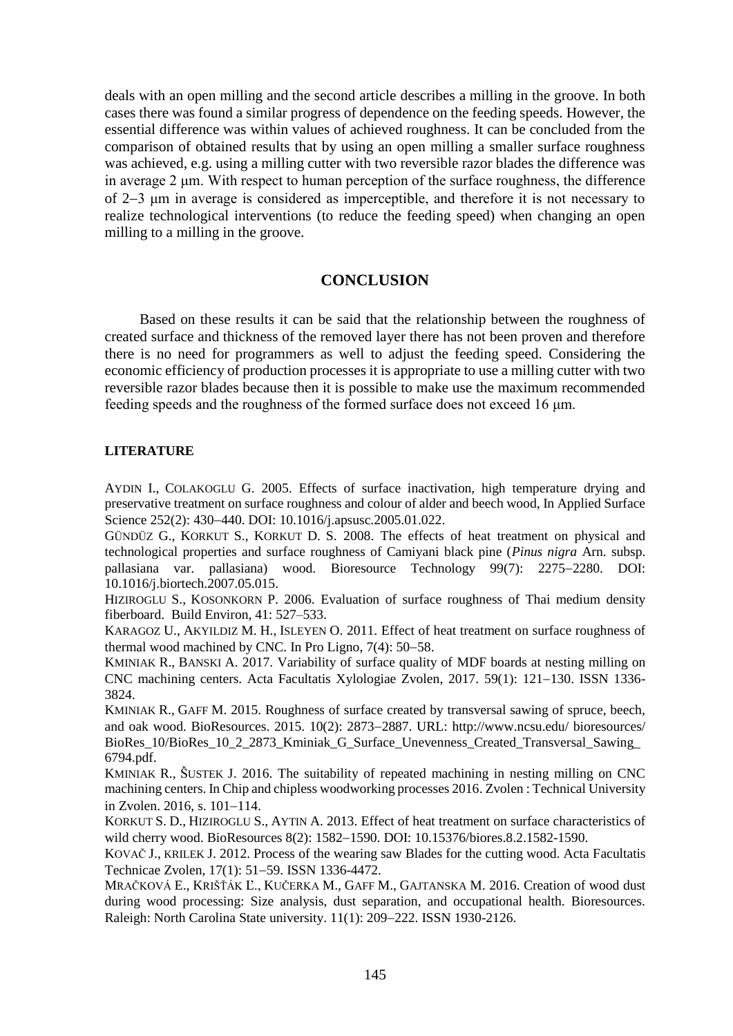deals with an open milling and the second article describes a milling in the groove. In both cases there was found a similar progress of dependence on the feeding speeds. However, the essential difference was within values of achieved roughness. It can be concluded from the comparison of obtained results that by using an open milling a smaller surface roughness was achieved, e.g. using a milling cutter with two reversible razor blades the difference was in average 2 μm. With respect to human perception of the surface roughness, the difference of 23 μm in average is considered as imperceptible, and therefore it is not necessary to realize technological interventions (to reduce the feeding speed) when changing an open milling to a milling in the groove.

# **CONCLUSION**

Based on these results it can be said that the relationship between the roughness of created surface and thickness of the removed layer there has not been proven and therefore there is no need for programmers as well to adjust the feeding speed. Considering the economic efficiency of production processes it is appropriate to use a milling cutter with two reversible razor blades because then it is possible to make use the maximum recommended feeding speeds and the roughness of the formed surface does not exceed 16 μm.

### **LITERATURE**

AYDIN I., COLAKOGLU G. 2005. Effects of surface inactivation, high temperature drying and preservative treatment on surface roughness and colour of alder and beech wood, In Applied Surface Science 252(2): 430-440. DOI: 10.1016/j.apsusc.2005.01.022.

GÜNDÜZ G., KORKUT S., KORKUT D. S. 2008. The effects of heat treatment on physical and technological properties and surface roughness of Camiyani black pine (*Pinus nigra* Arn. subsp. pallasiana var. pallasiana) wood. Bioresource Technology 99(7): 2275-2280. DOI: 10.1016/j.biortech.2007.05.015.

HIZIROGLU S., KOSONKORN P. 2006. Evaluation of surface roughness of Thai medium density fiberboard. Build Environ, 41: 527–533.

KARAGOZ U., AKYILDIZ M. H., ISLEYEN O. 2011. Effect of heat treatment on surface roughness of thermal wood machined by CNC. In Pro Ligno,  $7(4)$ : 50-58.

KMINIAK R., BANSKI A. 2017. Variability of surface quality of MDF boards at nesting milling on CNC machining centers. Acta Facultatis Xylologiae Zvolen, 2017. 59(1): 121-130. ISSN 1336-3824.

KMINIAK R., GAFF M. 2015. Roughness of surface created by transversal sawing of spruce, beech, and oak wood. BioResources. 2015. 10(2): 2873-2887. URL: http://www.ncsu.edu/ bioresources/ BioRes\_10/BioRes\_10\_2\_2873\_Kminiak\_G\_Surface\_Unevenness\_Created\_Transversal\_Sawing\_ 6794.pdf.

KMINIAK R., ŠUSTEK J. 2016. The suitability of repeated machining in nesting milling on CNC machining centers. In Chip and chipless woodworking processes 2016. Zvolen : Technical University in Zvolen.  $2016$ , s.  $101-114$ .

KORKUT S. D., HIZIROGLU S., AYTIN A. 2013. Effect of heat treatment on surface characteristics of wild cherry wood. BioResources 8(2): 1582-1590. DOI: 10.15376/biores.8.2.1582-1590.

KOVAČ J., KRILEK J. 2012. Process of the wearing saw Blades for the cutting wood. Acta Facultatis Technicae Zvolen, 17(1): 51–59. ISSN 1336-4472.

MRAČKOVÁ E., KRIŠŤÁK Ľ., KUČERKA M., GAFF M., GAJTANSKA M. 2016. Creation of wood dust during wood processing: Size analysis, dust separation, and occupational health. Bioresources. Raleigh: North Carolina State university. 11(1): 209-222. ISSN 1930-2126.